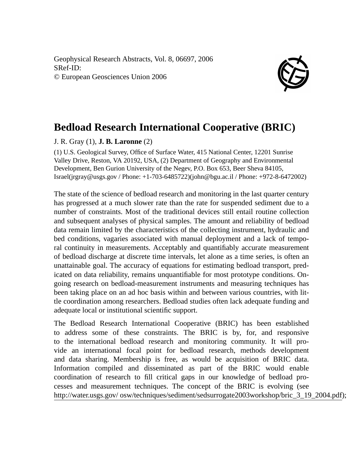Geophysical Research Abstracts, Vol. 8, 06697, 2006 SRef-ID: © European Geosciences Union 2006



## **Bedload Research International Cooperative (BRIC)**

## J. R. Gray (1), **J. B. Laronne** (2)

(1) U.S. Geological Survey, Office of Surface Water, 415 National Center, 12201 Sunrise Valley Drive, Reston, VA 20192, USA, (2) Department of Geography and Environmental Development, Ben Gurion University of the Negev, P.O. Box 653, Beer Sheva 84105, Israel(jrgray@usgs.gov / Phone: +1-703-6485722)(john@bgu.ac.il / Phone: +972-8-6472002)

The state of the science of bedload research and monitoring in the last quarter century has progressed at a much slower rate than the rate for suspended sediment due to a number of constraints. Most of the traditional devices still entail routine collection and subsequent analyses of physical samples. The amount and reliability of bedload data remain limited by the characteristics of the collecting instrument, hydraulic and bed conditions, vagaries associated with manual deployment and a lack of temporal continuity in measurements. Acceptably and quantifiably accurate measurement of bedload discharge at discrete time intervals, let alone as a time series, is often an unattainable goal. The accuracy of equations for estimating bedload transport, predicated on data reliability, remains unquantifiable for most prototype conditions. Ongoing research on bedload-measurement instruments and measuring techniques has been taking place on an ad hoc basis within and between various countries, with little coordination among researchers. Bedload studies often lack adequate funding and adequate local or institutional scientific support.

The Bedload Research International Cooperative (BRIC) has been established to address some of these constraints. The BRIC is by, for, and responsive to the international bedload research and monitoring community. It will provide an international focal point for bedload research, methods development and data sharing. Membership is free, as would be acquisition of BRIC data. Information compiled and disseminated as part of the BRIC would enable coordination of research to fill critical gaps in our knowledge of bedload processes and measurement techniques. The concept of the BRIC is evolving (see http://water.usgs.gov/ osw/techniques/sediment/sedsurrogate2003workshop/bric\_3\_19\_2004.pdf);